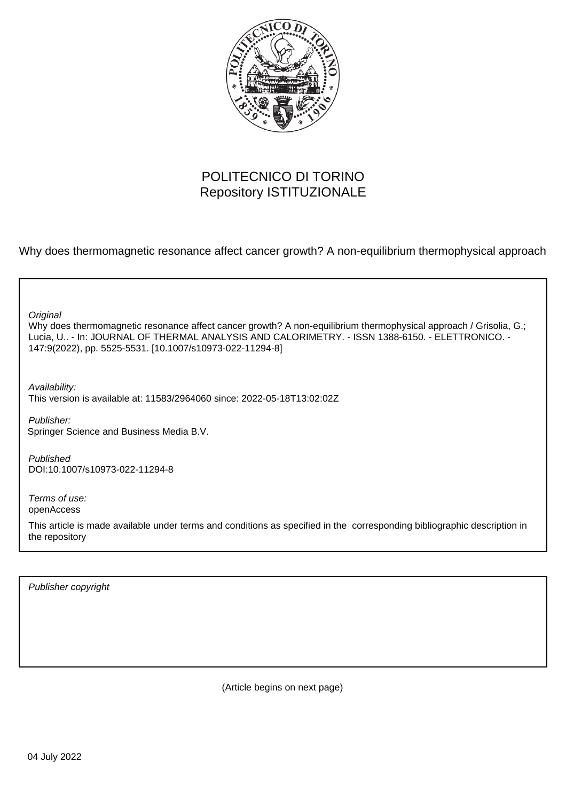

# POLITECNICO DI TORINO Repository ISTITUZIONALE

Why does thermomagnetic resonance affect cancer growth? A non-equilibrium thermophysical approach

**Original** 

Why does thermomagnetic resonance affect cancer growth? A non-equilibrium thermophysical approach / Grisolia, G.; Lucia, U.. - In: JOURNAL OF THERMAL ANALYSIS AND CALORIMETRY. - ISSN 1388-6150. - ELETTRONICO. - 147:9(2022), pp. 5525-5531. [10.1007/s10973-022-11294-8]

Availability:

This version is available at: 11583/2964060 since: 2022-05-18T13:02:02Z

Publisher: Springer Science and Business Media B.V.

Published DOI:10.1007/s10973-022-11294-8

Terms of use: openAccess

This article is made available under terms and conditions as specified in the corresponding bibliographic description in the repository

Publisher copyright

(Article begins on next page)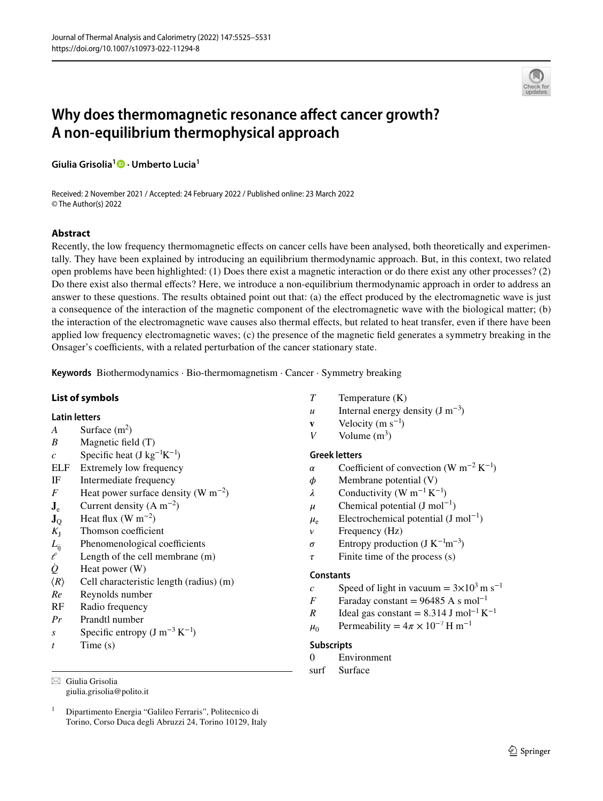

# **Why does thermomagnetic resonance afect cancer growth? A non‑equilibrium thermophysical approach**

**Giulia Grisolia1  [·](http://orcid.org/0000-0001-9189-3876) Umberto Lucia1**

Received: 2 November 2021 / Accepted: 24 February 2022 / Published online: 23 March 2022 © The Author(s) 2022

# **Abstract**

Recently, the low frequency thermomagnetic efects on cancer cells have been analysed, both theoretically and experimentally. They have been explained by introducing an equilibrium thermodynamic approach. But, in this context, two related open problems have been highlighted: (1) Does there exist a magnetic interaction or do there exist any other processes? (2) Do there exist also thermal efects? Here, we introduce a non-equilibrium thermodynamic approach in order to address an answer to these questions. The results obtained point out that: (a) the efect produced by the electromagnetic wave is just a consequence of the interaction of the magnetic component of the electromagnetic wave with the biological matter; (b) the interaction of the electromagnetic wave causes also thermal efects, but related to heat transfer, even if there have been applied low frequency electromagnetic waves; (c) the presence of the magnetic feld generates a symmetry breaking in the Onsager's coefficients, with a related perturbation of the cancer stationary state.

**Keywords** Biothermodynamics · Bio-thermomagnetism · Cancer · Symmetry breaking

### **List of symbols**

#### **Latin letters**

- *A* Surface  $(m^2)$
- *B* Magnetic feld (T)
- *c* Specific heat (J kg<sup>-1</sup>K<sup>-1</sup>)
- ELF Extremely low frequency
- IF Intermediate frequency
- *F* Heat power surface density (W m<sup>-2</sup>)
- $J_e$  Current density (A m<sup>-2</sup>)
- $\mathbf{J}_{\mathrm{Q}}$  Heat flux (W m<sup>-2</sup>)
- $K_{I}$  Thomson coefficient
- $L_{ij}$  Phenomenological coefficients
- $\ell$  Length of the cell membrane (m)
- *Q̇* Heat power (W)
- ⟨*R*⟩ Cell characteristic length (radius) (m)
- *Re* Reynolds number
- RF Radio frequency
- *Pr* Prandtl number
- *s* Specific entropy  $(J m^{-3} K^{-1})$
- *t* Time (s)

 $\boxtimes$  Giulia Grisolia giulia.grisolia@polito.it

- *T* Temperature (K)
- *u* Internal energy density  $(J m^{-3})$
- **v** Velocity  $(m s^{-1})$
- *V* Volume  $(m^3)$

# **Greek letters**

- $\alpha$  Coefficient of convection (W m<sup>-2</sup> K<sup>-1</sup>)
- $\phi$  Membrane potential (V)
- $\lambda$  Conductivity (W m<sup>-1</sup> K<sup>-1</sup>)
- $\mu$  Chemical potential (J mol<sup>-1</sup>)
- $\mu_e$  Electrochemical potential (J mol<sup>-1</sup>)
- *v* Frequency (Hz)
- $\sigma$  Entropy production (J K<sup>-1</sup>m<sup>-3</sup>)
- $\tau$  Finite time of the process (s)

#### **Constants**

- c Speed of light in vacuum =  $3 \times 10^3$  m s<sup>-1</sup>
- *F* Faraday constant = 96485 A s mol<sup>-1</sup>
- *R* Ideal gas constant =  $8.314$  J mol<sup>-1</sup> K<sup>-1</sup>
- $\mu_0$  Permeability =  $4\pi \times 10^{-7}$  H m<sup>-1</sup>

# **Subscripts**

- 0 Environment
- surf Surface

<sup>&</sup>lt;sup>1</sup> Dipartimento Energia "Galileo Ferraris", Politecnico di Torino, Corso Duca degli Abruzzi 24, Torino 10129, Italy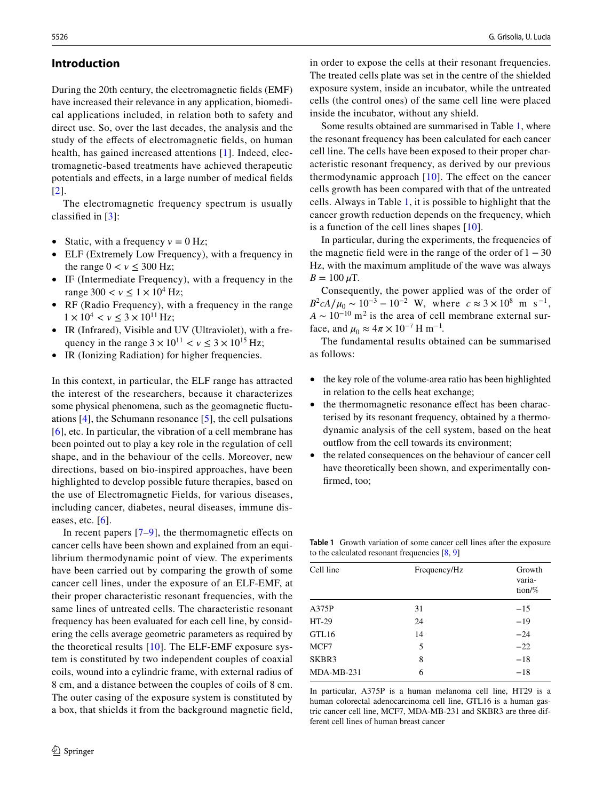# **Introduction**

During the 20th century, the electromagnetic felds (EMF) have increased their relevance in any application, biomedical applications included, in relation both to safety and direct use. So, over the last decades, the analysis and the study of the efects of electromagnetic felds, on human health, has gained increased attentions [1]. Indeed, electromagnetic-based treatments have achieved therapeutic potentials and efects, in a large number of medical felds [2].

The electromagnetic frequency spectrum is usually classifed in [3]:

- Static, with a frequency  $v = 0$  Hz;
- ELF (Extremely Low Frequency), with a frequency in the range  $0 < v \leq 300$  Hz;
- IF (Intermediate Frequency), with a frequency in the range  $300 < v \le 1 \times 10^4$  Hz;
- RF (Radio Frequency), with a frequency in the range  $1 \times 10^4 < v \leq 3 \times 10^{11}$  Hz;
- IR (Infrared), Visible and UV (Ultraviolet), with a frequency in the range  $3 \times 10^{11} < v \leq 3 \times 10^{15}$  Hz;
- IR (Ionizing Radiation) for higher frequencies.

In this context, in particular, the ELF range has attracted the interest of the researchers, because it characterizes some physical phenomena, such as the geomagnetic fuctuations [4], the Schumann resonance [5], the cell pulsations [6], etc. In particular, the vibration of a cell membrane has been pointed out to play a key role in the regulation of cell shape, and in the behaviour of the cells. Moreover, new directions, based on bio-inspired approaches, have been highlighted to develop possible future therapies, based on the use of Electromagnetic Fields, for various diseases, including cancer, diabetes, neural diseases, immune diseases, etc.  $[6]$ .

In recent papers  $[7-9]$ , the thermomagnetic effects on cancer cells have been shown and explained from an equilibrium thermodynamic point of view. The experiments have been carried out by comparing the growth of some cancer cell lines, under the exposure of an ELF-EMF, at their proper characteristic resonant frequencies, with the same lines of untreated cells. The characteristic resonant frequency has been evaluated for each cell line, by considering the cells average geometric parameters as required by the theoretical results [10]. The ELF-EMF exposure system is constituted by two independent couples of coaxial coils, wound into a cylindric frame, with external radius of 8 cm, and a distance between the couples of coils of 8 cm. The outer casing of the exposure system is constituted by a box, that shields it from the background magnetic feld,

in order to expose the cells at their resonant frequencies. The treated cells plate was set in the centre of the shielded exposure system, inside an incubator, while the untreated cells (the control ones) of the same cell line were placed inside the incubator, without any shield.

Some results obtained are summarised in Table 1, where the resonant frequency has been calculated for each cancer cell line. The cells have been exposed to their proper characteristic resonant frequency, as derived by our previous thermodynamic approach  $[10]$ . The effect on the cancer cells growth has been compared with that of the untreated cells. Always in Table 1, it is possible to highlight that the cancer growth reduction depends on the frequency, which is a function of the cell lines shapes [10].

In particular, during the experiments, the frequencies of the magnetic field were in the range of the order of  $1 - 30$ Hz, with the maximum amplitude of the wave was always  $B = 100 \mu T$ .

Consequently, the power applied was of the order of  $B^2cA/\mu_0 \sim 10^{-3} - 10^{-2}$  W, where  $c \approx 3 \times 10^8$  m s<sup>-1</sup>,  $A \sim 10^{-10}$  m<sup>2</sup> is the area of cell membrane external surface, and  $\mu_0 \approx 4\pi \times 10^{-7}$  H m<sup>-1</sup>.

The fundamental results obtained can be summarised as follows:

- the key role of the volume-area ratio has been highlighted in relation to the cells heat exchange;
- the thermomagnetic resonance effect has been characterised by its resonant frequency, obtained by a thermodynamic analysis of the cell system, based on the heat outflow from the cell towards its environment;
- the related consequences on the behaviour of cancer cell have theoretically been shown, and experimentally confrmed, too;

**Table 1** Growth variation of some cancer cell lines after the exposure to the calculated resonant frequencies [8, 9]

| Cell line    | Frequency/Hz | Growth<br>varia-<br>tion/% |
|--------------|--------------|----------------------------|
| A375P        | 31           | $-15$                      |
| $HT-29$      | 24           | $-19$                      |
| GTL16        | 14           | $-24$                      |
| MCF7         | 5            | $-22$                      |
| SKBR3        | 8            | $-18$                      |
| $MDA-MB-231$ | 6            | $-18$                      |

In particular, A375P is a human melanoma cell line, HT29 is a human colorectal adenocarcinoma cell line, GTL16 is a human gastric cancer cell line, MCF7, MDA-MB-231 and SKBR3 are three different cell lines of human breast cancer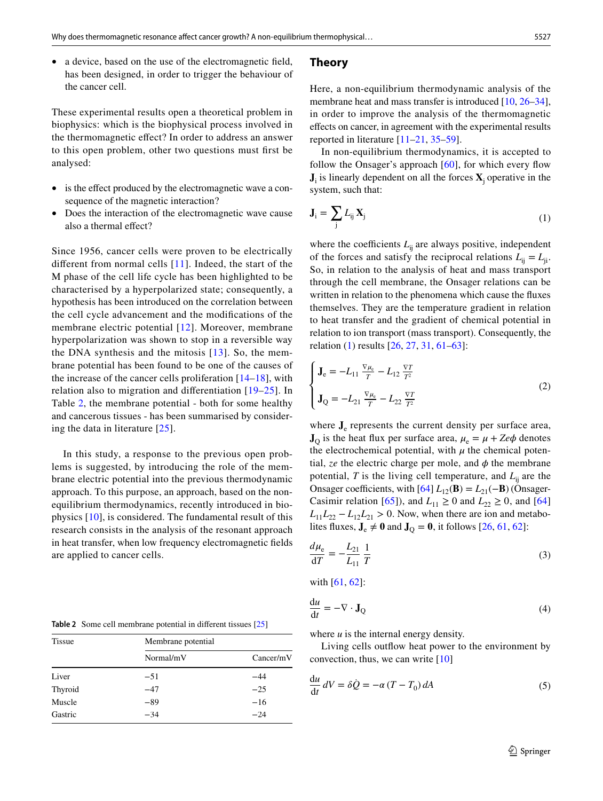• a device, based on the use of the electromagnetic field, has been designed, in order to trigger the behaviour of the cancer cell.

These experimental results open a theoretical problem in biophysics: which is the biophysical process involved in the thermomagnetic efect? In order to address an answer to this open problem, other two questions must frst be analysed:

- is the effect produced by the electromagnetic wave a consequence of the magnetic interaction?
- Does the interaction of the electromagnetic wave cause also a thermal efect?

Since 1956, cancer cells were proven to be electrically diferent from normal cells [11]. Indeed, the start of the M phase of the cell life cycle has been highlighted to be characterised by a hyperpolarized state; consequently, a hypothesis has been introduced on the correlation between the cell cycle advancement and the modifcations of the membrane electric potential [12]. Moreover, membrane hyperpolarization was shown to stop in a reversible way the DNA synthesis and the mitosis [13]. So, the membrane potential has been found to be one of the causes of the increase of the cancer cells proliferation [14–18], with relation also to migration and diferentiation [19–25]. In Table 2, the membrane potential - both for some healthy and cancerous tissues - has been summarised by considering the data in literature [25].

In this study, a response to the previous open problems is suggested, by introducing the role of the membrane electric potential into the previous thermodynamic approach. To this purpose, an approach, based on the nonequilibrium thermodynamics, recently introduced in biophysics [10], is considered. The fundamental result of this research consists in the analysis of the resonant approach in heat transfer, when low frequency electromagnetic felds are applied to cancer cells.

**Table 2** Some cell membrane potential in diferent tissues [25]

| <b>Tissue</b> | Membrane potential |           |  |
|---------------|--------------------|-----------|--|
|               | Normal/mV          | Cancer/mV |  |
| Liver         | $-51$              | $-44$     |  |
| Thyroid       | $-47$              | $-25$     |  |
| Muscle        | $-89$              | $-16$     |  |
| Gastric       | $-34$              | $-24$     |  |

#### **Theory**

Here, a non-equilibrium thermodynamic analysis of the membrane heat and mass transfer is introduced [10, 26–34], in order to improve the analysis of the thermomagnetic efects on cancer, in agreement with the experimental results reported in literature [11–21, 35–59].

In non-equilibrium thermodynamics, it is accepted to follow the Onsager's approach  $[60]$ , for which every flow  $J_i$  is linearly dependent on all the forces  $X_j$  operative in the system, such that:

$$
\mathbf{J}_i = \sum_j L_{ij} \mathbf{X}_j \tag{1}
$$

where the coefficients  $L_{ii}$  are always positive, independent of the forces and satisfy the reciprocal relations  $L_{ii} = L_{ii}$ . So, in relation to the analysis of heat and mass transport through the cell membrane, the Onsager relations can be written in relation to the phenomena which cause the fuxes themselves. They are the temperature gradient in relation to heat transfer and the gradient of chemical potential in relation to ion transport (mass transport). Consequently, the relation (1) results [26, 27, 31, 61–63]:

$$
\begin{cases} \mathbf{J}_{e} = -L_{11} \frac{\nabla \mu_{e}}{T} - L_{12} \frac{\nabla T}{T^{2}} \\ \mathbf{J}_{Q} = -L_{21} \frac{\nabla \mu_{e}}{T} - L_{22} \frac{\nabla T}{T^{2}} \end{cases}
$$
(2)

where  $J<sub>e</sub>$  represents the current density per surface area,  **is the heat flux per surface area,**  $\mu_e = \mu + Ze\phi$  **denotes** the electrochemical potential, with  $\mu$  the chemical potential,  $ze$  the electric charge per mole, and  $\phi$  the membrane potential,  $T$  is the living cell temperature, and  $L_{ii}$  are the Onsager coefficients, with  $[64] L_{12}(\mathbf{B}) = L_{21}(-\mathbf{B})$  (Onsager-Casimir relation [65]), and  $L_{11} \ge 0$  and  $L_{22} \ge 0$ , and [64]  $L_{11}L_{22} - L_{12}L_{21} > 0$ . Now, when there are ion and metabolites fluxes,  $J_e \neq 0$  and  $J_Q = 0$ , it follows [26, 61, 62]:

$$
\frac{d\mu_{\rm e}}{dT} = -\frac{L_{21}}{L_{11}} \frac{1}{T}
$$
 (3)

with [61, 62]:

$$
\frac{du}{dt} = -\nabla \cdot \mathbf{J}_Q \tag{4}
$$

where *u* is the internal energy density.

Living cells outflow heat power to the environment by convection, thus, we can write [10]

$$
\frac{du}{dt} dV = \delta \dot{Q} = -\alpha (T - T_0) dA \tag{5}
$$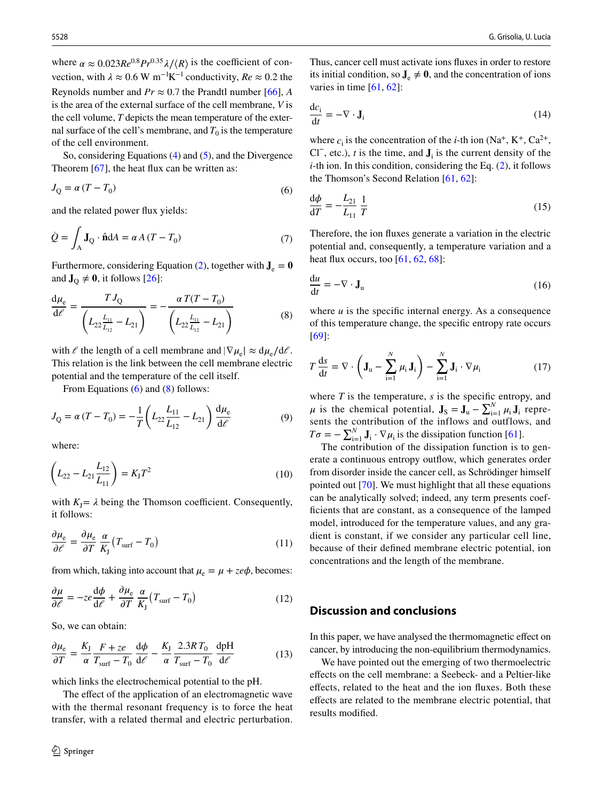where  $\alpha \approx 0.023Re^{0.8}Pr^{0.35}\lambda/\langle R \rangle$  is the coefficient of convection, with  $\lambda \approx 0.6 \text{ W m}^{-1} \text{K}^{-1}$  conductivity,  $Re \approx 0.2$  the Reynolds number and  $Pr \approx 0.7$  the Prandtl number [66], *A* is the area of the external surface of the cell membrane, *V* is the cell volume, *T* depicts the mean temperature of the external surface of the cell's membrane, and  $T_0$  is the temperature of the cell environment.

So, considering Equations (4) and (5), and the Divergence Theorem [67], the heat flux can be written as:

$$
J_Q = \alpha (T - T_0) \tag{6}
$$

and the related power fux yields:

$$
\dot{Q} = \int_{A} \mathbf{J}_{Q} \cdot \hat{\mathbf{n}} dA = \alpha A (T - T_{0})
$$
\n(7)

Furthermore, considering Equation (2), together with  $J_e = 0$ and  $J_Q \neq 0$ , it follows [26]:

$$
\frac{d\mu_e}{d\ell} = \frac{T J_Q}{\left(L_{22} \frac{L_{11}}{L_{12}} - L_{21}\right)} = -\frac{\alpha T (T - T_0)}{\left(L_{22} \frac{L_{11}}{L_{12}} - L_{21}\right)}
$$
(8)

with  $\ell$  the length of a cell membrane and  $|\nabla \mu_{\rm e}| \approx d\mu_{\rm e}/d\ell$ . This relation is the link between the cell membrane electric potential and the temperature of the cell itself.

From Equations (6) and (8) follows:

$$
J_{Q} = \alpha (T - T_{0}) = -\frac{1}{T} \left( L_{22} \frac{L_{11}}{L_{12}} - L_{21} \right) \frac{d\mu_{e}}{d\ell}
$$
(9)

where:

$$
\left(L_{22} - L_{21} \frac{L_{12}}{L_{11}}\right) = K_{J} T^2
$$
\n(10)

with  $K_J = \lambda$  being the Thomson coefficient. Consequently, it follows:

$$
\frac{\partial \mu_{\rm e}}{\partial \ell} = \frac{\partial \mu_{\rm e}}{\partial T} \frac{\alpha}{K_{\rm J}} \left( T_{\rm surf} - T_0 \right) \tag{11}
$$

from which, taking into account that  $\mu_e = \mu + z e \phi$ , becomes:

$$
\frac{\partial \mu}{\partial \ell} = -ze \frac{d\phi}{d\ell} + \frac{\partial \mu_e}{\partial T} \frac{\alpha}{K_J} (T_{\text{surf}} - T_0)
$$
 (12)

So, we can obtain:

$$
\frac{\partial \mu_{\rm e}}{\partial T} = \frac{K_{\rm J}}{\alpha} \frac{F + ze}{T_{\rm surf} - T_0} \frac{\mathrm{d}\phi}{\mathrm{d}\ell} - \frac{K_{\rm J}}{\alpha} \frac{2.3RT_0}{T_{\rm surf} - T_0} \frac{\mathrm{dpH}}{\mathrm{d}\ell} \tag{13}
$$

which links the electrochemical potential to the pH.

The effect of the application of an electromagnetic wave with the thermal resonant frequency is to force the heat transfer, with a related thermal and electric perturbation.

Thus, cancer cell must activate ions fuxes in order to restore its initial condition, so  $J_e \neq 0$ , and the concentration of ions varies in time  $[61, 62]$ :

$$
\frac{dc_i}{dt} = -\nabla \cdot \mathbf{J}_i \tag{14}
$$

where  $c_i$  is the concentration of the *i*-th ion (Na<sup>+</sup>, K<sup>+</sup>, Ca<sup>2+</sup>, Cl<sup>-</sup>, etc.), *t* is the time, and  $J_i$  is the current density of the *i*-th ion. In this condition, considering the Eq. (2), it follows the Thomson's Second Relation [61, 62]:

$$
\frac{\mathrm{d}\phi}{\mathrm{d}T} = -\frac{L_{21}}{L_{11}}\frac{1}{T} \tag{15}
$$

Therefore, the ion fuxes generate a variation in the electric potential and, consequently, a temperature variation and a heat flux occurs, too  $[61, 62, 68]$ :

$$
\frac{\mathrm{d}u}{\mathrm{d}t} = -\nabla \cdot \mathbf{J}_u \tag{16}
$$

where  $u$  is the specific internal energy. As a consequence of this temperature change, the specifc entropy rate occurs [69]:

$$
T\frac{\mathrm{d}s}{\mathrm{d}t} = \nabla \cdot \left(\mathbf{J}_{\mathrm{u}} - \sum_{i=1}^{N} \mu_{i} \mathbf{J}_{i}\right) - \sum_{i=1}^{N} \mathbf{J}_{i} \cdot \nabla \mu_{i}
$$
(17)

where  $T$  is the temperature,  $s$  is the specific entropy, and  $\mu$  is the chemical potential,  $\mathbf{J}_S = \mathbf{J}_u - \sum_{i=1}^N \mu_i \mathbf{J}_i$  represents the contribution of the inflows and outflows, and  $T\sigma = -\sum_{i=1}^{N} J_i \cdot \nabla \mu_i$  is the dissipation function [61].

The contribution of the dissipation function is to generate a continuous entropy outflow, which generates order from disorder inside the cancer cell, as Schrödinger himself pointed out [70]. We must highlight that all these equations can be analytically solved; indeed, any term presents coeffcients that are constant, as a consequence of the lamped model, introduced for the temperature values, and any gradient is constant, if we consider any particular cell line, because of their defned membrane electric potential, ion concentrations and the length of the membrane.

### **Discussion and conclusions**

In this paper, we have analysed the thermomagnetic efect on cancer, by introducing the non-equilibrium thermodynamics.

We have pointed out the emerging of two thermoelectric efects on the cell membrane: a Seebeck- and a Peltier-like efects, related to the heat and the ion fuxes. Both these efects are related to the membrane electric potential, that results modifed.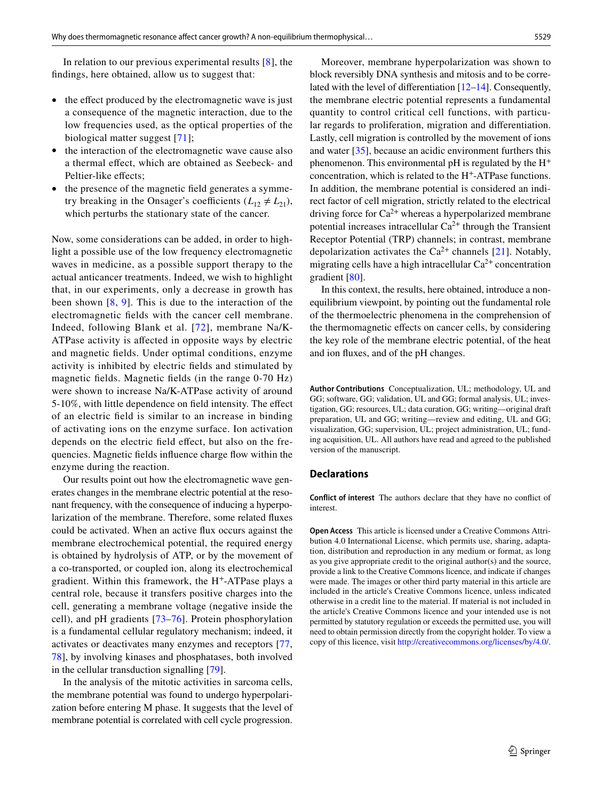In relation to our previous experimental results [8], the fndings, here obtained, allow us to suggest that:

- the effect produced by the electromagnetic wave is just a consequence of the magnetic interaction, due to the low frequencies used, as the optical properties of the biological matter suggest [71];
- the interaction of the electromagnetic wave cause also a thermal efect, which are obtained as Seebeck- and Peltier-like effects;
- the presence of the magnetic field generates a symmetry breaking in the Onsager's coefficients  $(L_{12} \neq L_{21})$ , which perturbs the stationary state of the cancer.

Now, some considerations can be added, in order to highlight a possible use of the low frequency electromagnetic waves in medicine, as a possible support therapy to the actual anticancer treatments. Indeed, we wish to highlight that, in our experiments, only a decrease in growth has been shown  $[8, 9]$ . This is due to the interaction of the electromagnetic felds with the cancer cell membrane. Indeed, following Blank et al. [72], membrane Na/K-ATPase activity is afected in opposite ways by electric and magnetic felds. Under optimal conditions, enzyme activity is inhibited by electric felds and stimulated by magnetic felds. Magnetic felds (in the range 0-70 Hz) were shown to increase Na/K-ATPase activity of around 5-10%, with little dependence on feld intensity. The efect of an electric feld is similar to an increase in binding of activating ions on the enzyme surface. Ion activation depends on the electric feld efect, but also on the frequencies. Magnetic felds infuence charge fow within the enzyme during the reaction.

Our results point out how the electromagnetic wave generates changes in the membrane electric potential at the resonant frequency, with the consequence of inducing a hyperpolarization of the membrane. Therefore, some related fuxes could be activated. When an active fux occurs against the membrane electrochemical potential, the required energy is obtained by hydrolysis of ATP, or by the movement of a co-transported, or coupled ion, along its electrochemical gradient. Within this framework, the H+-ATPase plays a central role, because it transfers positive charges into the cell, generating a membrane voltage (negative inside the cell), and pH gradients [73–76]. Protein phosphorylation is a fundamental cellular regulatory mechanism; indeed, it activates or deactivates many enzymes and receptors [77, 78], by involving kinases and phosphatases, both involved in the cellular transduction signalling [79].

In the analysis of the mitotic activities in sarcoma cells, the membrane potential was found to undergo hyperpolarization before entering M phase. It suggests that the level of membrane potential is correlated with cell cycle progression.

block reversibly DNA synthesis and mitosis and to be correlated with the level of diferentiation [12–14]. Consequently, the membrane electric potential represents a fundamental quantity to control critical cell functions, with particular regards to proliferation, migration and diferentiation. Lastly, cell migration is controlled by the movement of ions and water [35], because an acidic environment furthers this phenomenon. This environmental pH is regulated by the  $H^+$ concentration, which is related to the H+-ATPase functions. In addition, the membrane potential is considered an indirect factor of cell migration, strictly related to the electrical driving force for  $Ca^{2+}$  whereas a hyperpolarized membrane potential increases intracellular  $Ca^{2+}$  through the Transient Receptor Potential (TRP) channels; in contrast, membrane depolarization activates the  $Ca^{2+}$  channels [21]. Notably, migrating cells have a high intracellular  $Ca^{2+}$  concentration gradient [80].

In this context, the results, here obtained, introduce a nonequilibrium viewpoint, by pointing out the fundamental role of the thermoelectric phenomena in the comprehension of the thermomagnetic efects on cancer cells, by considering the key role of the membrane electric potential, of the heat and ion fuxes, and of the pH changes.

**Author Contributions** Conceptualization, UL; methodology, UL and GG; software, GG; validation, UL and GG; formal analysis, UL; investigation, GG; resources, UL; data curation, GG; writing—original draft preparation, UL and GG; writing—review and editing, UL and GG; visualization, GG; supervision, UL; project administration, UL; funding acquisition, UL. All authors have read and agreed to the published version of the manuscript.

#### **Declarations**

**Conflict of interest** The authors declare that they have no confict of interest.

**Open Access** This article is licensed under a Creative Commons Attribution 4.0 International License, which permits use, sharing, adaptation, distribution and reproduction in any medium or format, as long as you give appropriate credit to the original author(s) and the source, provide a link to the Creative Commons licence, and indicate if changes were made. The images or other third party material in this article are included in the article's Creative Commons licence, unless indicated otherwise in a credit line to the material. If material is not included in the article's Creative Commons licence and your intended use is not permitted by statutory regulation or exceeds the permitted use, you will need to obtain permission directly from the copyright holder. To view a copy of this licence, visit<http://creativecommons.org/licenses/by/4.0/>.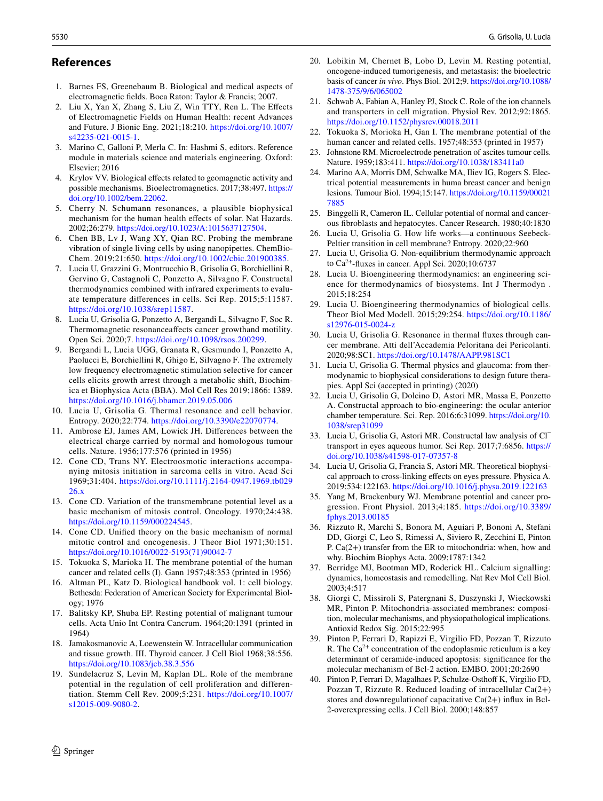### **References**

- 1. Barnes FS, Greenebaum B. Biological and medical aspects of electromagnetic felds. Boca Raton: Taylor & Francis; 2007.
- 2. Liu X, Yan X, Zhang S, Liu Z, Win TTY, Ren L. The Efects of Electromagnetic Fields on Human Health: recent Advances and Future. J Bionic Eng. 2021;18:210. [https://doi.org/10.1007/](https://doi.org/10.1007/s42235-021-0015-1) [s42235-021-0015-1.](https://doi.org/10.1007/s42235-021-0015-1)
- 3. Marino C, Galloni P, Merla C. In: Hashmi S, editors. Reference module in materials science and materials engineering. Oxford: Elsevier; 2016
- 4. Krylov VV. Biological efects related to geomagnetic activity and possible mechanisms. Bioelectromagnetics. 2017;38:497. [https://](https://doi.org/10.1002/bem.22062) [doi.org/10.1002/bem.22062.](https://doi.org/10.1002/bem.22062)
- 5. Cherry N. Schumann resonances, a plausible biophysical mechanism for the human health effects of solar. Nat Hazards. 2002;26:279. <https://doi.org/10.1023/A:1015637127504>.
- 6. Chen BB, Lv J, Wang XY, Qian RC. Probing the membrane vibration of single living cells by using nanopipettes. ChemBio-Chem. 2019;21:650. <https://doi.org/10.1002/cbic.201900385>.
- 7. Lucia U, Grazzini G, Montrucchio B, Grisolia G, Borchiellini R, Gervino G, Castagnoli C, Ponzetto A, Silvagno F. Constructal thermodynamics combined with infrared experiments to evaluate temperature diferences in cells. Sci Rep. 2015;5:11587. [https://doi.org/10.1038/srep11587.](https://doi.org/10.1038/srep11587)
- 8. Lucia U, Grisolia G, Ponzetto A, Bergandi L, Silvagno F, Soc R. Thermomagnetic resonanceafects cancer growthand motility. Open Sci. 2020;7.<https://doi.org/10.1098/rsos.200299>.
- 9. Bergandi L, Lucia UGG, Granata R, Gesmundo I, Ponzetto A, Paolucci E, Borchiellini R, Ghigo E, Silvagno F. The extremely low frequency electromagnetic stimulation selective for cancer cells elicits growth arrest through a metabolic shift, Biochimica et Biophysica Acta (BBA). Mol Cell Res 2019;1866: 1389. <https://doi.org/10.1016/j.bbamcr.2019.05.006>
- 10. Lucia U, Grisolia G. Thermal resonance and cell behavior. Entropy. 2020;22:774. [https://doi.org/10.3390/e22070774.](https://doi.org/10.3390/e22070774)
- 11. Ambrose EJ, James AM, Lowick JH. Diferences between the electrical charge carried by normal and homologous tumour cells. Nature. 1956;177:576 (printed in 1956)
- 12. Cone CD, Trans NY. Electroosmotic interactions accompanying mitosis initiation in sarcoma cells in vitro. Acad Sci 1969;31:404. [https://doi.org/10.1111/j.2164-0947.1969.tb029](https://doi.org/10.1111/j.2164-0947.1969.tb02926.x) [26.x](https://doi.org/10.1111/j.2164-0947.1969.tb02926.x)
- 13. Cone CD. Variation of the transmembrane potential level as a basic mechanism of mitosis control. Oncology. 1970;24:438. [https://doi.org/10.1159/000224545.](https://doi.org/10.1159/000224545)
- 14. Cone CD. Unifed theory on the basic mechanism of normal mitotic control and oncogenesis. J Theor Biol 1971;30:151. [https://doi.org/10.1016/0022-5193\(71\)90042-7](https://doi.org/10.1016/0022-5193(71)90042-7)
- 15. Tokuoka S, Marioka H. The membrane potential of the human cancer and related cells (I). Gann 1957;48:353 (printed in 1956)
- 16. Altman PL, Katz D. Biological handbook vol. 1: cell biology. Bethesda: Federation of American Society for Experimental Biology; 1976
- 17. Balitsky KP, Shuba EP. Resting potential of malignant tumour cells. Acta Unio Int Contra Cancrum. 1964;20:1391 (printed in 1964)
- 18. Jamakosmanovic A, Loewenstein W. Intracellular communication and tissue growth. III. Thyroid cancer. J Cell Biol 1968;38:556. <https://doi.org/10.1083/jcb.38.3.556>
- 19. Sundelacruz S, Levin M, Kaplan DL. Role of the membrane potential in the regulation of cell proliferation and differentiation. Stemm Cell Rev. 2009;5:231. [https://doi.org/10.1007/](https://doi.org/10.1007/s12015-009-9080-2) [s12015-009-9080-2.](https://doi.org/10.1007/s12015-009-9080-2)
- 20. Lobikin M, Chernet B, Lobo D, Levin M. Resting potential, oncogene-induced tumorigenesis, and metastasis: the bioelectric basis of cancer *in vivo*. Phys Biol. 2012;9. [https://doi.org/10.1088/](https://doi.org/10.1088/1478-375/9/6/065002) [1478-375/9/6/065002](https://doi.org/10.1088/1478-375/9/6/065002)
- 21. Schwab A, Fabian A, Hanley PJ, Stock C. Role of the ion channels and transporters in cell migration. Physiol Rev. 2012;92:1865. <https://doi.org/10.1152/physrev.00018.2011>
- 22. Tokuoka S, Morioka H, Gan I. The membrane potential of the human cancer and related cells. 1957;48:353 (printed in 1957)
- 23. Johnstone RM. Microelectrode penetration of ascites tumour cells. Nature. 1959;183:411. <https://doi.org/10.1038/183411a0>
- 24. Marino AA, Morris DM, Schwalke MA, Iliev IG, Rogers S. Electrical potential measurements in huma breast cancer and benign lesions. Tumour Biol. 1994;15:147. [https://doi.org/10.1159/00021](https://doi.org/10.1159/000217885) [7885](https://doi.org/10.1159/000217885)
- 25. Binggelli R, Cameron IL. Cellular potential of normal and cancerous fbroblasts and hepatocytes. Cancer Research. 1980;40:1830
- 26. Lucia U, Grisolia G. How life works—a continuous Seebeck-Peltier transition in cell membrane? Entropy. 2020;22:960
- 27. Lucia U, Grisolia G. Non-equilibrium thermodynamic approach to Ca<sup>2</sup><sup>+</sup>-fuxes in cancer. Appl Sci. 2020;10:6737
- 28. Lucia U. Bioengineering thermodynamics: an engineering science for thermodynamics of biosystems. Int J Thermodyn . 2015;18:254
- 29. Lucia U. Bioengineering thermodynamics of biological cells. Theor Biol Med Modell. 2015;29:254. [https://doi.org/10.1186/](https://doi.org/10.1186/s12976-015-0024-z) [s12976-015-0024-z](https://doi.org/10.1186/s12976-015-0024-z)
- 30. Lucia U, Grisolia G. Resonance in thermal fuxes through cancer membrane. Atti dell'Accademia Peloritana dei Pericolanti. 2020;98:SC1. <https://doi.org/10.1478/AAPP.981SC1>
- 31. Lucia U, Grisolia G. Thermal physics and glaucoma: from thermodynamic to biophysical considerations to design future therapies. Appl Sci (accepted in printing) (2020)
- 32. Lucia U, Grisolia G, Dolcino D, Astori MR, Massa E, Ponzetto A. Constructal approach to bio-engineering: the ocular anterior chamber temperature. Sci. Rep. 2016;6:31099. [https://doi.org/10.](https://doi.org/10.1038/srep31099) [1038/srep31099](https://doi.org/10.1038/srep31099)
- 33. Lucia U, Grisolia G, Astori MR. Constructal law analysis of Cl<sup>−</sup> transport in eyes aqueous humor. Sci Rep. 2017;7:6856. [https://](https://doi.org/10.1038/s41598-017-07357-8) [doi.org/10.1038/s41598-017-07357-8](https://doi.org/10.1038/s41598-017-07357-8)
- 34. Lucia U, Grisolia G, Francia S, Astori MR. Theoretical biophysical approach to cross-linking efects on eyes pressure. Physica A. 2019;534:122163.<https://doi.org/10.1016/j.physa.2019.122163>
- 35. Yang M, Brackenbury WJ. Membrane potential and cancer progression. Front Physiol. 2013;4:185. [https://doi.org/10.3389/](https://doi.org/10.3389/fphys.2013.00185) [fphys.2013.00185](https://doi.org/10.3389/fphys.2013.00185)
- 36. Rizzuto R, Marchi S, Bonora M, Aguiari P, Bononi A, Stefani DD, Giorgi C, Leo S, Rimessi A, Siviero R, Zecchini E, Pinton P. Ca(2+) transfer from the ER to mitochondria: when, how and why. Biochim Biophys Acta. 2009;1787:1342
- 37. Berridge MJ, Bootman MD, Roderick HL. Calcium signalling: dynamics, homeostasis and remodelling. Nat Rev Mol Cell Biol. 2003;4:517
- 38. Giorgi C, Missiroli S, Patergnani S, Duszynski J, Wieckowski MR, Pinton P. Mitochondria-associated membranes: composition, molecular mechanisms, and physiopathological implications. Antioxid Redox Sig. 2015;22:995
- 39. Pinton P, Ferrari D, Rapizzi E, Virgilio FD, Pozzan T, Rizzuto R. The  $Ca^{2+}$  concentration of the endoplasmic reticulum is a key determinant of ceramide-induced apoptosis: signifcance for the molecular mechanism of Bcl-2 action. EMBO. 2001;20:2690
- 40. Pinton P, Ferrari D, Magalhaes P, Schulze-Osthof K, Virgilio FD, Pozzan T, Rizzuto R. Reduced loading of intracellular Ca(2+) stores and downregulationof capacitative Ca(2+) infux in Bcl-2-overexpressing cells. J Cell Biol. 2000;148:857